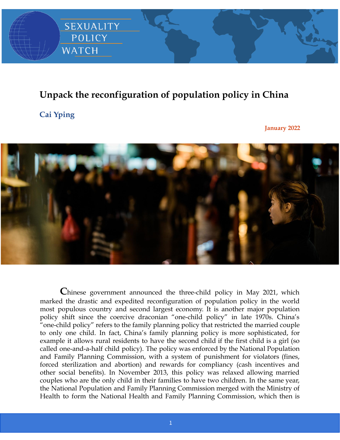

## **Unpack the reconfiguration of population policy in China**

## **Cai Yping**

**January 2022**



**C**hinese government announced the three-child policy in May 2021, which marked the drastic and expedited reconfiguration of population policy in the world most populous country and second largest economy. It is another major population policy shift since the coercive draconian "one-child policy" in late 1970s. China's "one-child policy" refers to the family planning policy that restricted the married couple to only one child. In fact, China's family planning policy is more sophisticated, for example it allows rural residents to have the second child if the first child is a girl (so called one-and-a-half child policy). The policy was enforced by the National Population and Family Planning Commission, with a system of punishment for violators (fines, forced sterilization and abortion) and rewards for compliancy (cash incentives and other social benefits). In November 2013, this policy was relaxed allowing married couples who are the only child in their families to have two children. In the same year, the National Population and Family Planning Commission merged with the Ministry of Health to form the National Health and Family Planning Commission, which then is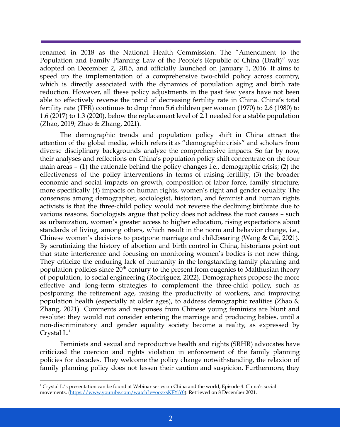renamed in 2018 as the National Health Commission. The "Amendment to the Population and Family Planning Law of the People's Republic of China (Draft)" was adopted on December 2, 2015, and officially launched on January 1, 2016. It aims to speed up the implementation of a comprehensive two-child policy across country, which is directly associated with the dynamics of population aging and birth rate reduction. However, all these policy adjustments in the past few years have not been able to effectively reverse the trend of decreasing fertility rate in China. China's total fertility rate (TFR) continues to drop from 5.6 children per woman (1970) to 2.6 (1980) to 1.6 (2017) to 1.3 (2020), below the replacement level of 2.1 needed for a stable population (Zhao, 2019; Zhao & Zhang, 2021).

The demographic trends and population policy shift in China attract the attention of the global media, which refers it as "demographic crisis" and scholars from diverse disciplinary backgrounds analyze the comprehensive impacts. So far by now, their analyses and reflections on China's population policy shift concentrate on the four main areas – (1) the rationale behind the policy changes i.e., demographic crisis; (2) the effectiveness of the policy interventions in terms of raising fertility; (3) the broader economic and social impacts on growth, composition of labor force, family structure; more specifically (4) impacts on human rights, women's right and gender equality. The consensus among demographer, sociologist, historian, and feminist and human rights activists is that the three-child policy would not reverse the declining birthrate due to various reasons. Sociologists argue that policy does not address the root causes – such as urbanization, women's greater access to higher education, rising expectations about standards of living, among others, which result in the norm and behavior change, i.e., Chinese women's decisions to postpone marriage and childbearing (Wang & Cai, 2021). By scrutinizing the history of abortion and birth control in China, historians point out that state interference and focusing on monitoring women's bodies is not new thing. They criticize the enduring lack of humanity in the longstanding family planning and population policies since 20<sup>th</sup> century to the present from eugenics to Malthusian theory of population, to social engineering (Rodriguez, 2022). Demographers propose the more effective and long-term strategies to complement the three-child policy, such as postponing the retirement age, raising the productivity of workers, and improving population health (especially at older ages), to address demographic realities (Zhao & Zhang, 2021). Comments and responses from Chinese young feminists are blunt and resolute: they would not consider entering the marriage and producing babies, until a non-discriminatory and gender equality society become a reality, as expressed by Crystal L.<sup>1</sup>

Feminists and sexual and reproductive health and rights (SRHR) advocates have criticized the coercion and rights violation in enforcement of the family planning policies for decades. They welcome the policy change notwithstanding, the relaxion of family planning policy does not lessen their caution and suspicion. Furthermore, they

<sup>1</sup> Crystal L.'s presentation can be found at Webinar series on China and the world, Episode 4. China's social movements. ([https://www.youtube.com/watch?v=oozxsKFYiY0\)](https://www.youtube.com/watch?v=oozxsKFYiY0). Retrieved on 8 December 2021.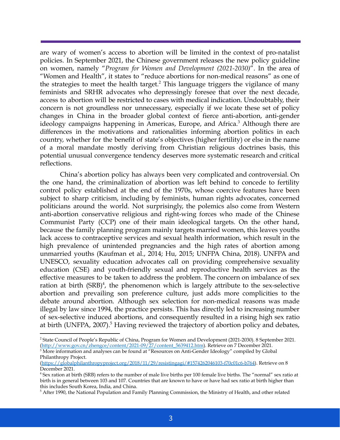are wary of women's access to abortion will be limited in the context of pro-natalist policies. In September 2021, the Chinese government releases the new policy guideline on women, namely "*Program for Women and Development (2021-2030)*". In the area of "Women and Health", it states to "reduce abortions for non-medical reasons" as one of the strategies to meet the health target.<sup>2</sup> This language triggers the vigilance of many feminists and SRHR advocates who depressingly foresee that over the next decade, access to abortion will be restricted to cases with medical indication. Undoubtably, their concern is not groundless nor unnecessary, especially if we locate these set of policy changes in China in the broader global context of fierce anti-abortion, anti-gender ideology campaigns happening in Americas, Europe, and Africa.<sup>3</sup> Although there are differences in the motivations and rationalities informing abortion politics in each country, whether for the benefit of state's objectives (higher fertility) or else in the name of a moral mandate mostly deriving from Christian religious doctrines basis, this potential unusual convergence tendency deserves more systematic research and critical reflections.

China's abortion policy has always been very complicated and controversial. On the one hand, the criminalization of abortion was left behind to concede to fertility control policy established at the end of the 1970s, whose coercive features have been subject to sharp criticism, including by feminists, human rights advocates, concerned politicians around the world. Not surprisingly, the polemics also come from Western anti-abortion conservative religious and right-wing forces who made of the Chinese Communist Party (CCP) one of their main ideological targets. On the other hand, because the family planning program mainly targets married women, this leaves youths lack access to contraceptive services and sexual health information, which result in the high prevalence of unintended pregnancies and the high rates of abortion among unmarried youths (Kaufman et al., 2014; Hu, 2015; UNFPA China, 2018). UNFPA and UNESCO, sexuality education advocates call on providing comprehensive sexuality education (CSE) and youth-friendly sexual and reproductive health services as the effective measures to be taken to address the problem. The concern on imbalance of sex ration at birth  $(SRB)^4$ , the phenomenon which is largely attribute to the sex-selective abortion and prevailing son preference culture, just adds more complicities to the debate around abortion. Although sex selection for non-medical reasons was made illegal by law since 1994, the practice persists. This has directly led to increasing number of sex-selective induced abortions, and consequently resulted in a rising high sex ratio at birth (UNFPA, 2007).<sup>5</sup> Having reviewed the trajectory of abortion policy and debates,

<sup>2</sup> State Council of People's Republic of China, Program for Women and Development (2021-2030). 8 September 2021. ([http://www.gov.cn/zhengce/content/2021-09/27/content\\_5639412.htm](http://www.gov.cn/zhengce/content/2021-09/27/content_5639412.htm)). Retrieve on 7 December 2021.

 $3$  More information and analyses can be found at "Resources on Anti-Gender Ideology" compiled by Global Philanthropy Project.

<sup>(</sup>[https://globalphilanthropyproject.org/2018/11/29/resistingagi/#1574262046103-f70c01c6-b764\)](https://globalphilanthropyproject.org/2018/11/29/resistingagi/#1574262046103-f70c01c6-b764). Retrieve on 8 December 2021.

<sup>4</sup> Sex ration at birth (SRB) refers to the number of male live births per 100 female live births. The "normal" sex ratio at birth is in general between 103 and 107. Countries that are known to have or have had sex ratio at birth higher than this includes South Korea, India, and China.

<sup>5</sup> After 1990, the National Population and Family Planning Commission, the Ministry of Health, and other related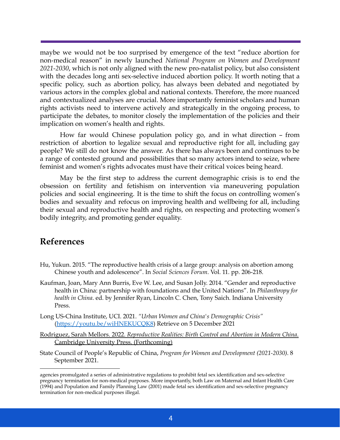maybe we would not be too surprised by emergence of the text "reduce abortion for non-medical reason" in newly launched *National Program on Women and Development 2021-2030*, which is not only aligned with the new pro-natalist policy, but also consistent with the decades long anti sex-selective induced abortion policy. It worth noting that a specific policy, such as abortion policy, has always been debated and negotiated by various actors in the complex global and national contexts. Therefore, the more nuanced and contextualized analyses are crucial. More importantly feminist scholars and human rights activists need to intervene actively and strategically in the ongoing process, to participate the debates, to monitor closely the implementation of the policies and their implication on women's health and rights.

How far would Chinese population policy go, and in what direction – from restriction of abortion to legalize sexual and reproductive right for all, including gay people? We still do not know the answer. As there has always been and continues to be a range of contested ground and possibilities that so many actors intend to seize, where feminist and women's rights advocates must have their critical voices being heard.

May be the first step to address the current demographic crisis is to end the obsession on fertility and fetishism on intervention via maneuvering population policies and social engineering. It is the time to shift the focus on controlling women's bodies and sexuality and refocus on improving health and wellbeing for all, including their sexual and reproductive health and rights, on respecting and protecting women's bodily integrity, and promoting gender equality.

## **References**

- Hu, Yukun. 2015. "The reproductive health crisis of a large group: analysis on abortion among Chinese youth and adolescence". In *Social Sciences Forum*. Vol. 11. pp. 206-218.
- Kaufman, Joan, Mary Ann Burris, Eve W. Lee, and Susan Jolly. 2014. "Gender and reproductive health in China: partnership with foundations and the United Nations". In *Philanthropy for health in China*. ed. by Jennifer Ryan, Lincoln C. Chen, Tony Saich. Indiana University Press.
- Long US-China Institute, UCI. 2021. *"Urban Women and China's Demographic Crisis"* (<https://youtu.be/wiHNEKUCQK8>) Retrieve on 5 December 2021
- Rodriguez, Sarah Mellors. 2022. *Reproductive Realities: Birth Control and Abortion in Modern China*. Cambridge University Press. (Forthcoming)
- State Council of People's Republic of China, *Program for Women and Development (2021-2030)*. 8 September 2021.

agencies promulgated a series of administrative regulations to prohibit fetal sex identification and sex-selective pregnancy termination for non-medical purposes. More importantly, both Law on Maternal and Infant Health Care (1994) and Population and Family Planning Law (2001) made fetal sex identification and sex-selective pregnancy termination for non-medical purposes illegal.